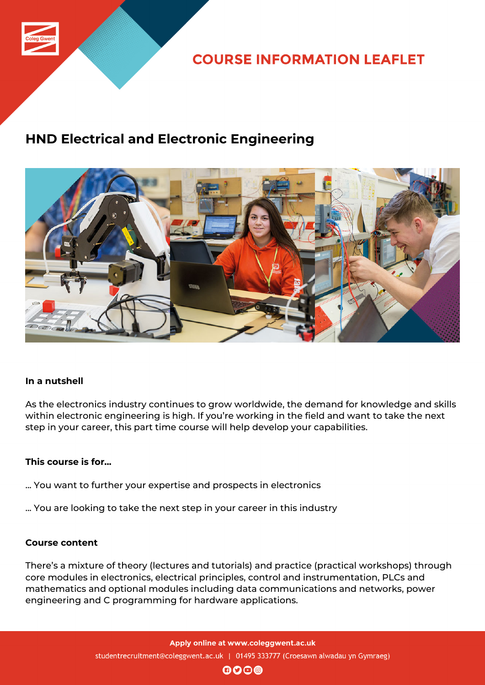

## **COURSE INFORMATION LEAFLET**

# **HND Electrical and Electronic Engineering**



## **In a nutshell**

As the electronics industry continues to grow worldwide, the demand for knowledge and skills within electronic engineering is high. If you're working in the field and want to take the next step in your career, this part time course will help develop your capabilities.

## **This course is for...**

- ... You want to further your expertise and prospects in electronics
- ... You are looking to take the next step in your career in this industry

#### **Course content**

There's a mixture of theory (lectures and tutorials) and practice (practical workshops) through core modules in electronics, electrical principles, control and instrumentation, PLCs and mathematics and optional modules including data communications and networks, power engineering and C programming for hardware applications.

 $\mathbf{0}$  $\mathbf{0}$  $\mathbf{0}$